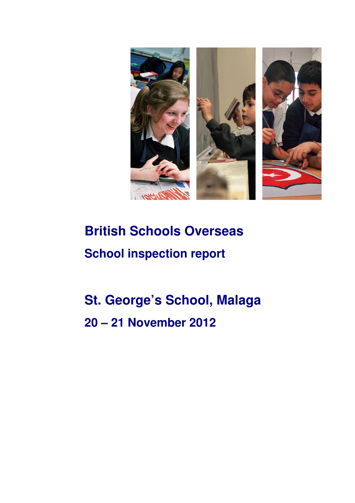

# **British Schools Overseas School inspection report**

# **St. George's School, Malaga 20 – 21 November 2012**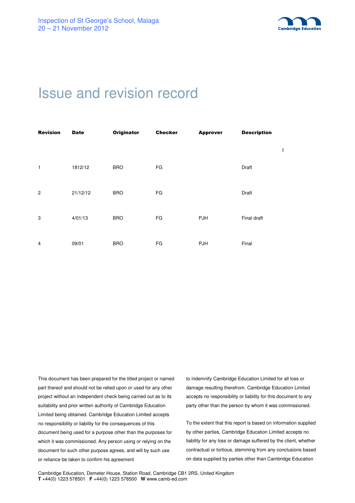

# Issue and revision record

| <b>Revision</b> | <b>Date</b> | <b>Originator</b> | <b>Checker</b> | <b>Approver</b> | <b>Description</b> |   |
|-----------------|-------------|-------------------|----------------|-----------------|--------------------|---|
|                 |             |                   |                |                 |                    | t |
| $\mathbf{1}$    | 1812/12     | <b>BRO</b>        | FG             |                 | Draft              |   |
| $\overline{2}$  | 21/12/12    | <b>BRO</b>        | FG             |                 | Draft              |   |
| 3               | 4/01/13     | <b>BRO</b>        | FG             | PJH             | Final draft        |   |
| 4               | 09/01       | <b>BRO</b>        | FG             | <b>PJH</b>      | Final              |   |

This document has been prepared for the titled project or named part thereof and should not be relied upon or used for any other project without an independent check being carried out as to its suitability and prior written authority of Cambridge Education Limited being obtained. Cambridge Education Limited accepts no responsibility or liability for the consequences of this document being used for a purpose other than the purposes for which it was commissioned. Any person using or relying on the document for such other purpose agrees, and will by such use or reliance be taken to confirm his agreement

to indemnify Cambridge Education Limited for all loss or damage resulting therefrom. Cambridge Education Limited accepts no responsibility or liability for this document to any party other than the person by whom it was commissioned.

To the extent that this report is based on information supplied by other parties, Cambridge Education Limited accepts no liability for any loss or damage suffered by the client, whether contractual or tortious, stemming from any conclusions based on data supplied by parties other than Cambridge Education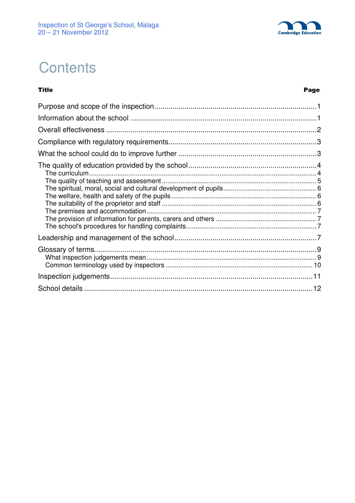

# **Contents**

**Title** 

#### Page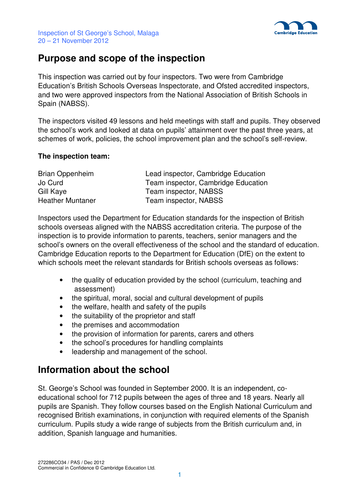

## **Purpose and scope of the inspection**

This inspection was carried out by four inspectors. Two were from Cambridge Education's British Schools Overseas Inspectorate, and Ofsted accredited inspectors, and two were approved inspectors from the National Association of British Schools in Spain (NABSS).

The inspectors visited 49 lessons and held meetings with staff and pupils. They observed the school's work and looked at data on pupils' attainment over the past three years, at schemes of work, policies, the school improvement plan and the school's self-review.

#### **The inspection team:**

| Brian Oppenheim         | Lead inspector, Cambridge Education |
|-------------------------|-------------------------------------|
| Jo Curd                 | Team inspector, Cambridge Education |
| Gill Kaye               | Team inspector, NABSS               |
| <b>Heather Muntaner</b> | Team inspector, NABSS               |

Inspectors used the Department for Education standards for the inspection of British schools overseas aligned with the NABSS accreditation criteria. The purpose of the inspection is to provide information to parents, teachers, senior managers and the school's owners on the overall effectiveness of the school and the standard of education. Cambridge Education reports to the Department for Education (DfE) on the extent to which schools meet the relevant standards for British schools overseas as follows:

- the quality of education provided by the school (curriculum, teaching and assessment)
- the spiritual, moral, social and cultural development of pupils
- the welfare, health and safety of the pupils
- the suitability of the proprietor and staff
- the premises and accommodation
- the provision of information for parents, carers and others
- the school's procedures for handling complaints
- leadership and management of the school.

## **Information about the school**

St. George's School was founded in September 2000. It is an independent, coeducational school for 712 pupils between the ages of three and 18 years. Nearly all pupils are Spanish. They follow courses based on the English National Curriculum and recognised British examinations, in conjunction with required elements of the Spanish curriculum. Pupils study a wide range of subjects from the British curriculum and, in addition, Spanish language and humanities.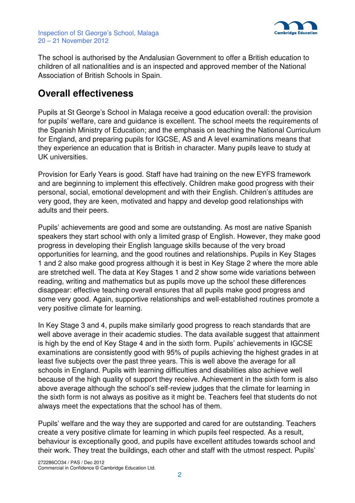



The school is authorised by the Andalusian Government to offer a British education to children of all nationalities and is an inspected and approved member of the National Association of British Schools in Spain.

## **Overall effectiveness**

Pupils at St George's School in Malaga receive a good education overall: the provision for pupils' welfare, care and guidance is excellent. The school meets the requirements of the Spanish Ministry of Education; and the emphasis on teaching the National Curriculum for England, and preparing pupils for IGCSE, AS and A level examinations means that they experience an education that is British in character. Many pupils leave to study at UK universities.

Provision for Early Years is good. Staff have had training on the new EYFS framework and are beginning to implement this effectively. Children make good progress with their personal, social, emotional development and with their English. Children's attitudes are very good, they are keen, motivated and happy and develop good relationships with adults and their peers.

Pupils' achievements are good and some are outstanding. As most are native Spanish speakers they start school with only a limited grasp of English. However, they make good progress in developing their English language skills because of the very broad opportunities for learning, and the good routines and relationships. Pupils in Key Stages 1 and 2 also make good progress although it is best in Key Stage 2 where the more able are stretched well. The data at Key Stages 1 and 2 show some wide variations between reading, writing and mathematics but as pupils move up the school these differences disappear: effective teaching overall ensures that all pupils make good progress and some very good. Again, supportive relationships and well-established routines promote a very positive climate for learning.

In Key Stage 3 and 4, pupils make similarly good progress to reach standards that are well above average in their academic studies. The data available suggest that attainment is high by the end of Key Stage 4 and in the sixth form. Pupils' achievements in IGCSE examinations are consistently good with 95% of pupils achieving the highest grades in at least five subjects over the past three years. This is well above the average for all schools in England. Pupils with learning difficulties and disabilities also achieve well because of the high quality of support they receive. Achievement in the sixth form is also above average although the school's self-review judges that the climate for learning in the sixth form is not always as positive as it might be. Teachers feel that students do not always meet the expectations that the school has of them.

Pupils' welfare and the way they are supported and cared for are outstanding. Teachers create a very positive climate for learning in which pupils feel respected. As a result, behaviour is exceptionally good, and pupils have excellent attitudes towards school and their work. They treat the buildings, each other and staff with the utmost respect. Pupils'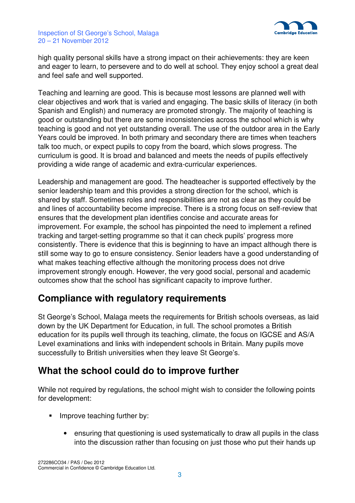

high quality personal skills have a strong impact on their achievements: they are keen and eager to learn, to persevere and to do well at school. They enjoy school a great deal and feel safe and well supported.

Teaching and learning are good. This is because most lessons are planned well with clear objectives and work that is varied and engaging. The basic skills of literacy (in both Spanish and English) and numeracy are promoted strongly. The majority of teaching is good or outstanding but there are some inconsistencies across the school which is why teaching is good and not yet outstanding overall. The use of the outdoor area in the Early Years could be improved. In both primary and secondary there are times when teachers talk too much, or expect pupils to copy from the board, which slows progress. The curriculum is good. It is broad and balanced and meets the needs of pupils effectively providing a wide range of academic and extra-curricular experiences.

Leadership and management are good. The headteacher is supported effectively by the senior leadership team and this provides a strong direction for the school, which is shared by staff. Sometimes roles and responsibilities are not as clear as they could be and lines of accountability become imprecise. There is a strong focus on self-review that ensures that the development plan identifies concise and accurate areas for improvement. For example, the school has pinpointed the need to implement a refined tracking and target-setting programme so that it can check pupils' progress more consistently. There is evidence that this is beginning to have an impact although there is still some way to go to ensure consistency. Senior leaders have a good understanding of what makes teaching effective although the monitoring process does not drive improvement strongly enough. However, the very good social, personal and academic outcomes show that the school has significant capacity to improve further.

## **Compliance with regulatory requirements**

St George's School, Malaga meets the requirements for British schools overseas, as laid down by the UK Department for Education, in full. The school promotes a British education for its pupils well through its teaching, climate, the focus on IGCSE and AS/A Level examinations and links with independent schools in Britain. Many pupils move successfully to British universities when they leave St George's.

## **What the school could do to improve further**

While not required by regulations, the school might wish to consider the following points for development:

- **Improve teaching further by:** 
	- ensuring that questioning is used systematically to draw all pupils in the class into the discussion rather than focusing on just those who put their hands up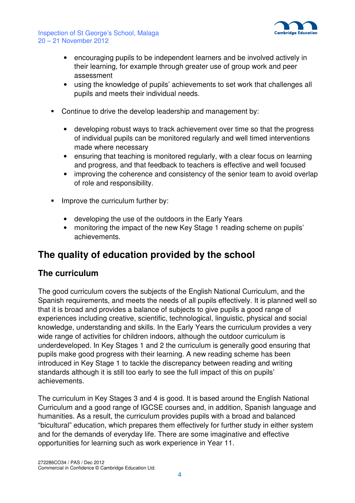

- encouraging pupils to be independent learners and be involved actively in their learning, for example through greater use of group work and peer assessment
- using the knowledge of pupils' achievements to set work that challenges all pupils and meets their individual needs.
- Continue to drive the develop leadership and management by:
	- developing robust ways to track achievement over time so that the progress of individual pupils can be monitored regularly and well timed interventions made where necessary
	- ensuring that teaching is monitored regularly, with a clear focus on learning and progress, and that feedback to teachers is effective and well focused
	- improving the coherence and consistency of the senior team to avoid overlap of role and responsibility.
- Improve the curriculum further by:
	- developing the use of the outdoors in the Early Years
	- monitoring the impact of the new Key Stage 1 reading scheme on pupils' achievements.

# **The quality of education provided by the school**

### **The curriculum**

The good curriculum covers the subjects of the English National Curriculum, and the Spanish requirements, and meets the needs of all pupils effectively. It is planned well so that it is broad and provides a balance of subjects to give pupils a good range of experiences including creative, scientific, technological, linguistic, physical and social knowledge, understanding and skills. In the Early Years the curriculum provides a very wide range of activities for children indoors, although the outdoor curriculum is underdeveloped. In Key Stages 1 and 2 the curriculum is generally good ensuring that pupils make good progress with their learning. A new reading scheme has been introduced in Key Stage 1 to tackle the discrepancy between reading and writing standards although it is still too early to see the full impact of this on pupils' achievements.

The curriculum in Key Stages 3 and 4 is good. It is based around the English National Curriculum and a good range of IGCSE courses and, in addition, Spanish language and humanities. As a result, the curriculum provides pupils with a broad and balanced "bicultural" education, which prepares them effectively for further study in either system and for the demands of everyday life. There are some imaginative and effective opportunities for learning such as work experience in Year 11.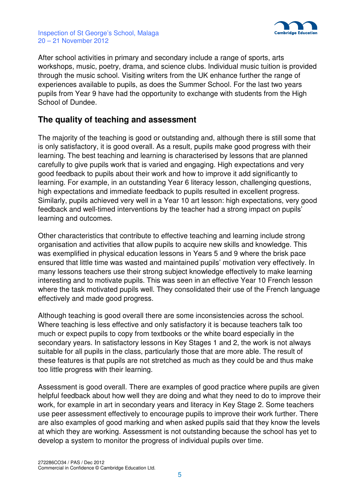

After school activities in primary and secondary include a range of sports, arts workshops, music, poetry, drama, and science clubs. Individual music tuition is provided through the music school. Visiting writers from the UK enhance further the range of experiences available to pupils, as does the Summer School. For the last two years pupils from Year 9 have had the opportunity to exchange with students from the High School of Dundee.

### **The quality of teaching and assessment**

The majority of the teaching is good or outstanding and, although there is still some that is only satisfactory, it is good overall. As a result, pupils make good progress with their learning. The best teaching and learning is characterised by lessons that are planned carefully to give pupils work that is varied and engaging. High expectations and very good feedback to pupils about their work and how to improve it add significantly to learning. For example, in an outstanding Year 6 literacy lesson, challenging questions, high expectations and immediate feedback to pupils resulted in excellent progress. Similarly, pupils achieved very well in a Year 10 art lesson: high expectations, very good feedback and well-timed interventions by the teacher had a strong impact on pupils' learning and outcomes.

Other characteristics that contribute to effective teaching and learning include strong organisation and activities that allow pupils to acquire new skills and knowledge. This was exemplified in physical education lessons in Years 5 and 9 where the brisk pace ensured that little time was wasted and maintained pupils' motivation very effectively. In many lessons teachers use their strong subject knowledge effectively to make learning interesting and to motivate pupils. This was seen in an effective Year 10 French lesson where the task motivated pupils well. They consolidated their use of the French language effectively and made good progress.

Although teaching is good overall there are some inconsistencies across the school. Where teaching is less effective and only satisfactory it is because teachers talk too much or expect pupils to copy from textbooks or the white board especially in the secondary years. In satisfactory lessons in Key Stages 1 and 2, the work is not always suitable for all pupils in the class, particularly those that are more able. The result of these features is that pupils are not stretched as much as they could be and thus make too little progress with their learning.

Assessment is good overall. There are examples of good practice where pupils are given helpful feedback about how well they are doing and what they need to do to improve their work, for example in art in secondary years and literacy in Key Stage 2. Some teachers use peer assessment effectively to encourage pupils to improve their work further. There are also examples of good marking and when asked pupils said that they know the levels at which they are working. Assessment is not outstanding because the school has yet to develop a system to monitor the progress of individual pupils over time.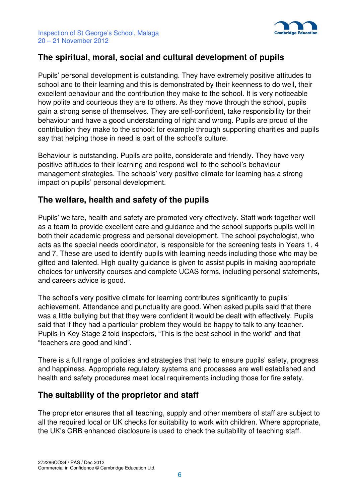

## **The spiritual, moral, social and cultural development of pupils**

Pupils' personal development is outstanding. They have extremely positive attitudes to school and to their learning and this is demonstrated by their keenness to do well, their excellent behaviour and the contribution they make to the school. It is very noticeable how polite and courteous they are to others. As they move through the school, pupils gain a strong sense of themselves. They are self-confident, take responsibility for their behaviour and have a good understanding of right and wrong. Pupils are proud of the contribution they make to the school: for example through supporting charities and pupils say that helping those in need is part of the school's culture.

Behaviour is outstanding. Pupils are polite, considerate and friendly. They have very positive attitudes to their learning and respond well to the school's behaviour management strategies. The schools' very positive climate for learning has a strong impact on pupils' personal development.

### **The welfare, health and safety of the pupils**

Pupils' welfare, health and safety are promoted very effectively. Staff work together well as a team to provide excellent care and guidance and the school supports pupils well in both their academic progress and personal development. The school psychologist, who acts as the special needs coordinator, is responsible for the screening tests in Years 1, 4 and 7. These are used to identify pupils with learning needs including those who may be gifted and talented. High quality guidance is given to assist pupils in making appropriate choices for university courses and complete UCAS forms, including personal statements, and careers advice is good.

The school's very positive climate for learning contributes significantly to pupils' achievement. Attendance and punctuality are good. When asked pupils said that there was a little bullying but that they were confident it would be dealt with effectively. Pupils said that if they had a particular problem they would be happy to talk to any teacher. Pupils in Key Stage 2 told inspectors, "This is the best school in the world" and that "teachers are good and kind".

There is a full range of policies and strategies that help to ensure pupils' safety, progress and happiness. Appropriate regulatory systems and processes are well established and health and safety procedures meet local requirements including those for fire safety.

## **The suitability of the proprietor and staff**

The proprietor ensures that all teaching, supply and other members of staff are subject to all the required local or UK checks for suitability to work with children. Where appropriate, the UK's CRB enhanced disclosure is used to check the suitability of teaching staff.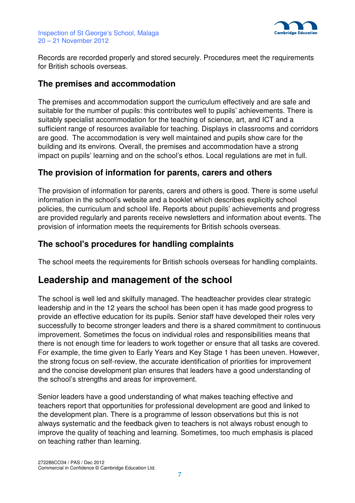

Records are recorded properly and stored securely. Procedures meet the requirements for British schools overseas.

### **The premises and accommodation**

The premises and accommodation support the curriculum effectively and are safe and suitable for the number of pupils: this contributes well to pupils' achievements. There is suitably specialist accommodation for the teaching of science, art, and ICT and a sufficient range of resources available for teaching. Displays in classrooms and corridors are good. The accommodation is very well maintained and pupils show care for the building and its environs. Overall, the premises and accommodation have a strong impact on pupils' learning and on the school's ethos. Local regulations are met in full.

## **The provision of information for parents, carers and others**

The provision of information for parents, carers and others is good. There is some useful information in the school's website and a booklet which describes explicitly school policies, the curriculum and school life. Reports about pupils' achievements and progress are provided regularly and parents receive newsletters and information about events. The provision of information meets the requirements for British schools overseas.

## **The school's procedures for handling complaints**

The school meets the requirements for British schools overseas for handling complaints.

## **Leadership and management of the school**

The school is well led and skilfully managed. The headteacher provides clear strategic leadership and in the 12 years the school has been open it has made good progress to provide an effective education for its pupils. Senior staff have developed their roles very successfully to become stronger leaders and there is a shared commitment to continuous improvement. Sometimes the focus on individual roles and responsibilities means that there is not enough time for leaders to work together or ensure that all tasks are covered. For example, the time given to Early Years and Key Stage 1 has been uneven. However, the strong focus on self-review, the accurate identification of priorities for improvement and the concise development plan ensures that leaders have a good understanding of the school's strengths and areas for improvement.

Senior leaders have a good understanding of what makes teaching effective and teachers report that opportunities for professional development are good and linked to the development plan. There is a programme of lesson observations but this is not always systematic and the feedback given to teachers is not always robust enough to improve the quality of teaching and learning. Sometimes, too much emphasis is placed on teaching rather than learning.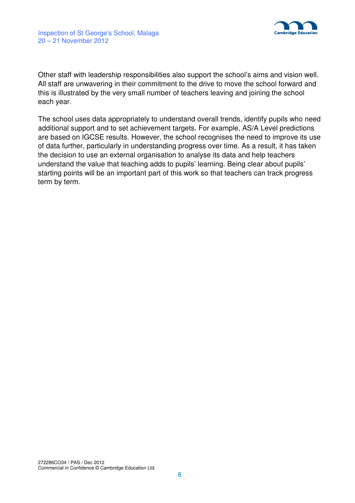

Other staff with leadership responsibilities also support the school's aims and vision well. All staff are unwavering in their commitment to the drive to move the school forward and this is illustrated by the very small number of teachers leaving and joining the school each year.

The school uses data appropriately to understand overall trends, identify pupils who need additional support and to set achievement targets. For example, AS/A Level predictions are based on IGCSE results. However, the school recognises the need to improve its use of data further, particularly in understanding progress over time. As a result, it has taken the decision to use an external organisation to analyse its data and help teachers understand the value that teaching adds to pupils' learning. Being clear about pupils' starting points will be an important part of this work so that teachers can track progress term by term.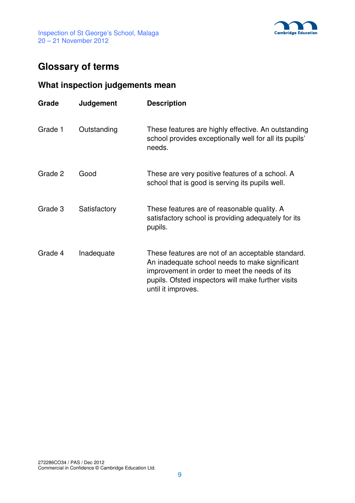

# **Glossary of terms**

## **What inspection judgements mean**

| Grade   | Judgement    | <b>Description</b>                                                                                                                                                                                                               |
|---------|--------------|----------------------------------------------------------------------------------------------------------------------------------------------------------------------------------------------------------------------------------|
| Grade 1 | Outstanding  | These features are highly effective. An outstanding<br>school provides exceptionally well for all its pupils'<br>needs.                                                                                                          |
| Grade 2 | Good         | These are very positive features of a school. A<br>school that is good is serving its pupils well.                                                                                                                               |
| Grade 3 | Satisfactory | These features are of reasonable quality. A<br>satisfactory school is providing adequately for its<br>pupils.                                                                                                                    |
| Grade 4 | Inadequate   | These features are not of an acceptable standard.<br>An inadequate school needs to make significant<br>improvement in order to meet the needs of its<br>pupils. Ofsted inspectors will make further visits<br>until it improves. |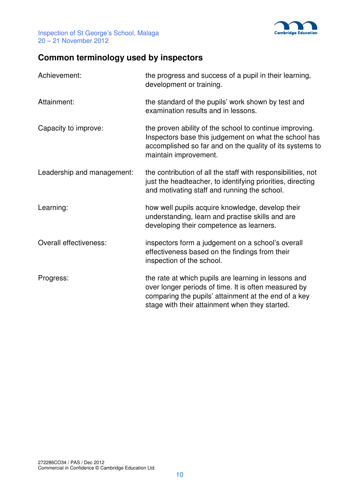

# **Common terminology used by inspectors**

| Achievement:               | the progress and success of a pupil in their learning,<br>development or training.                                                                                                                                     |
|----------------------------|------------------------------------------------------------------------------------------------------------------------------------------------------------------------------------------------------------------------|
| Attainment:                | the standard of the pupils' work shown by test and<br>examination results and in lessons.                                                                                                                              |
| Capacity to improve:       | the proven ability of the school to continue improving.<br>Inspectors base this judgement on what the school has<br>accomplished so far and on the quality of its systems to<br>maintain improvement.                  |
| Leadership and management: | the contribution of all the staff with responsibilities, not<br>just the headteacher, to identifying priorities, directing<br>and motivating staff and running the school.                                             |
| Learning:                  | how well pupils acquire knowledge, develop their<br>understanding, learn and practise skills and are<br>developing their competence as learners.                                                                       |
| Overall effectiveness:     | inspectors form a judgement on a school's overall<br>effectiveness based on the findings from their<br>inspection of the school.                                                                                       |
| Progress:                  | the rate at which pupils are learning in lessons and<br>over longer periods of time. It is often measured by<br>comparing the pupils' attainment at the end of a key<br>stage with their attainment when they started. |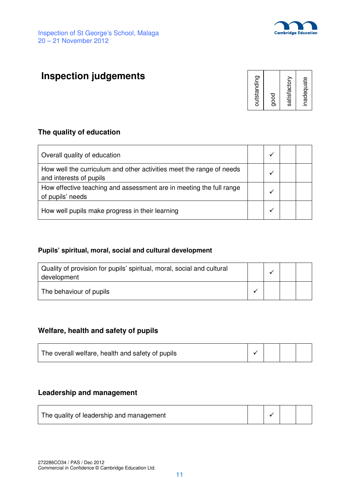

# **Inspection judgements**

| outstanding  |
|--------------|
| good         |
| satisfactory |
| inadequate   |

#### **The quality of education**

| Overall quality of education                                                                    |  |  |
|-------------------------------------------------------------------------------------------------|--|--|
| How well the curriculum and other activities meet the range of needs<br>and interests of pupils |  |  |
| How effective teaching and assessment are in meeting the full range<br>of pupils' needs         |  |  |
| How well pupils make progress in their learning                                                 |  |  |

#### **Pupils' spiritual, moral, social and cultural development**

| Quality of provision for pupils' spiritual, moral, social and cultural<br>development |  |  |
|---------------------------------------------------------------------------------------|--|--|
| The behaviour of pupils                                                               |  |  |

#### **Welfare, health and safety of pupils**

| The overall welfare, health and safety of pupils |  |  |  |  |
|--------------------------------------------------|--|--|--|--|
|--------------------------------------------------|--|--|--|--|

#### **Leadership and management**

| The quality of leadership and management |  |  |
|------------------------------------------|--|--|
|                                          |  |  |